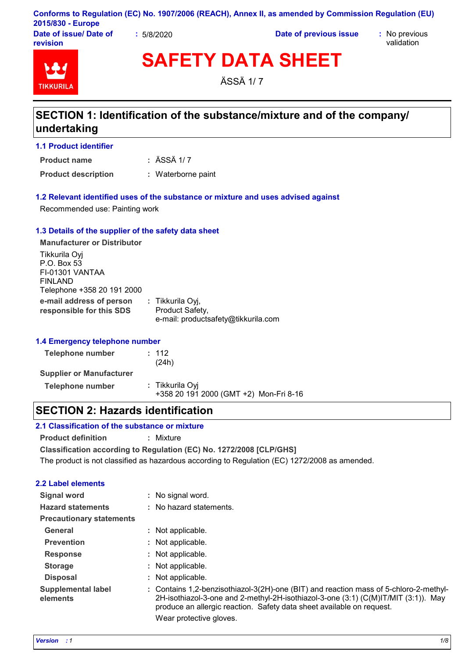| Conforms to Regulation (EC) No. 1907/2006 (REACH), Annex II, as amended by Commission Regulation (EU) |  |  |  |
|-------------------------------------------------------------------------------------------------------|--|--|--|
| 2015/830 - Europe                                                                                     |  |  |  |
|                                                                                                       |  |  |  |

**Date of issue/ Date of revision**

**:** 5/8/2020 **Date of previous issue :** No previous

validation



**SAFETY DATA SHEET**

ÄSSÄ 1/ 7

# **SECTION 1: Identification of the substance/mixture and of the company/ undertaking**

**1.1 Product identifier**

ÄSSÄ 1/ 7 **: Product name**

**Product description :** Waterborne paint

#### **1.2 Relevant identified uses of the substance or mixture and uses advised against**

Recommended use: Painting work

#### **1.3 Details of the supplier of the safety data sheet**

**e-mail address of person responsible for this SDS :** Tikkurila Oyj, Product Safety, e-mail: productsafety@tikkurila.com **Manufacturer or Distributor** Tikkurila Oyj P.O. Box 53 FI-01301 VANTAA FINLAND Telephone +358 20 191 2000

#### **1.4 Emergency telephone number**

| Telephone number                | : 112<br>(24h)                                            |
|---------------------------------|-----------------------------------------------------------|
| <b>Supplier or Manufacturer</b> |                                                           |
| Telephone number                | : Tikkurila Oyi<br>+358 20 191 2000 (GMT +2) Mon-Fri 8-16 |

### **SECTION 2: Hazards identification**

### **2.1 Classification of the substance or mixture**

**Product definition :** Mixture

**Classification according to Regulation (EC) No. 1272/2008 [CLP/GHS]**

The product is not classified as hazardous according to Regulation (EC) 1272/2008 as amended.

### **2.2 Label elements**

| <b>Signal word</b>                    |    | No signal word.                                                                                                                                                                                                                                      |
|---------------------------------------|----|------------------------------------------------------------------------------------------------------------------------------------------------------------------------------------------------------------------------------------------------------|
| <b>Hazard statements</b>              |    | : No hazard statements.                                                                                                                                                                                                                              |
| <b>Precautionary statements</b>       |    |                                                                                                                                                                                                                                                      |
| General                               |    | : Not applicable.                                                                                                                                                                                                                                    |
| <b>Prevention</b>                     |    | : Not applicable.                                                                                                                                                                                                                                    |
| <b>Response</b>                       |    | : Not applicable.                                                                                                                                                                                                                                    |
| <b>Storage</b>                        |    | : Not applicable.                                                                                                                                                                                                                                    |
| <b>Disposal</b>                       | ÷. | Not applicable.                                                                                                                                                                                                                                      |
| <b>Supplemental label</b><br>elements |    | : Contains 1,2-benzisothiazol-3(2H)-one (BIT) and reaction mass of 5-chloro-2-methyl-<br>2H-isothiazol-3-one and 2-methyl-2H-isothiazol-3-one (3:1) (C(M)IT/MIT (3:1)). May<br>produce an allergic reaction. Safety data sheet available on request. |
|                                       |    | Wear protective gloves.                                                                                                                                                                                                                              |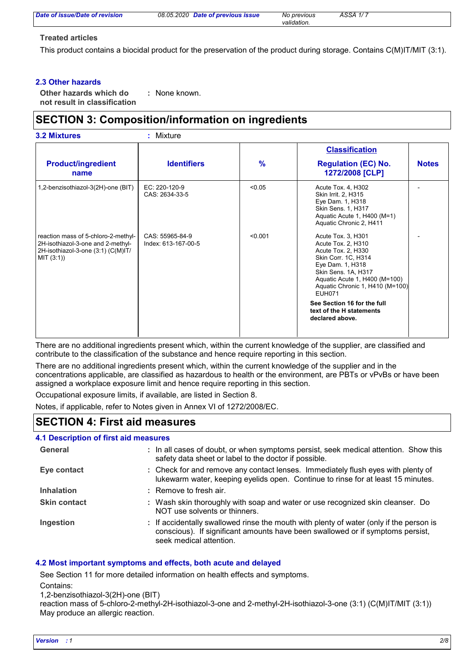*Date of previous issue No previous ÄSSÄ 1/ 7*

*validation.*

#### **Treated articles**

This product contains a biocidal product for the preservation of the product during storage. Contains C(M)IT/MIT (3:1).

#### **2.3 Other hazards**

**Other hazards which do : not result in classification** : None known.

# **SECTION 3: Composition/information on ingredients**

|                                                                                                                              |                                        |               | <b>Classification</b>                                                                                                                                                                                                 |              |
|------------------------------------------------------------------------------------------------------------------------------|----------------------------------------|---------------|-----------------------------------------------------------------------------------------------------------------------------------------------------------------------------------------------------------------------|--------------|
| <b>Product/ingredient</b><br>name                                                                                            | <b>Identifiers</b>                     | $\frac{9}{6}$ | <b>Regulation (EC) No.</b><br>1272/2008 [CLP]                                                                                                                                                                         | <b>Notes</b> |
| 1,2-benzisothiazol-3(2H)-one (BIT)                                                                                           | $EC: 220-120-9$<br>CAS: 2634-33-5      | < 0.05        | Acute Tox. 4, H302<br>Skin Irrit. 2, H315<br>Eye Dam. 1, H318<br>Skin Sens. 1, H317<br>Aquatic Acute 1, H400 (M=1)<br>Aquatic Chronic 2, H411                                                                         |              |
| reaction mass of 5-chloro-2-methyl-<br>2H-isothiazol-3-one and 2-methyl-<br>2H-isothiazol-3-one (3:1) (C(M)IT/<br>MIT (3:1)) | CAS: 55965-84-9<br>Index: 613-167-00-5 | < 0.001       | Acute Tox. 3, H301<br>Acute Tox. 2, H310<br>Acute Tox. 2, H330<br>Skin Corr. 1C, H314<br>Eye Dam. 1, H318<br>Skin Sens. 1A, H317<br>Aquatic Acute 1, H400 (M=100)<br>Aquatic Chronic 1, H410 (M=100)<br><b>EUH071</b> |              |
|                                                                                                                              |                                        |               | See Section 16 for the full<br>text of the H statements<br>declared above.                                                                                                                                            |              |

There are no additional ingredients present which, within the current knowledge of the supplier, are classified and contribute to the classification of the substance and hence require reporting in this section.

There are no additional ingredients present which, within the current knowledge of the supplier and in the concentrations applicable, are classified as hazardous to health or the environment, are PBTs or vPvBs or have been assigned a workplace exposure limit and hence require reporting in this section.

Occupational exposure limits, if available, are listed in Section 8.

Notes, if applicable, refer to Notes given in Annex VI of 1272/2008/EC.

### **SECTION 4: First aid measures**

#### **4.1 Description of first aid measures**

| General             | : In all cases of doubt, or when symptoms persist, seek medical attention. Show this<br>safety data sheet or label to the doctor if possible.                                                        |
|---------------------|------------------------------------------------------------------------------------------------------------------------------------------------------------------------------------------------------|
| Eye contact         | : Check for and remove any contact lenses. Immediately flush eyes with plenty of<br>lukewarm water, keeping eyelids open. Continue to rinse for at least 15 minutes.                                 |
| <b>Inhalation</b>   | : Remove to fresh air.                                                                                                                                                                               |
| <b>Skin contact</b> | : Wash skin thoroughly with soap and water or use recognized skin cleanser. Do<br>NOT use solvents or thinners.                                                                                      |
| Ingestion           | : If accidentally swallowed rinse the mouth with plenty of water (only if the person is<br>conscious). If significant amounts have been swallowed or if symptoms persist,<br>seek medical attention. |

#### **4.2 Most important symptoms and effects, both acute and delayed**

See Section 11 for more detailed information on health effects and symptoms.

Contains:

1,2-benzisothiazol-3(2H)-one (BIT)

reaction mass of 5-chloro-2-methyl-2H-isothiazol-3-one and 2-methyl-2H-isothiazol-3-one (3:1) (C(M)IT/MIT (3:1)) May produce an allergic reaction.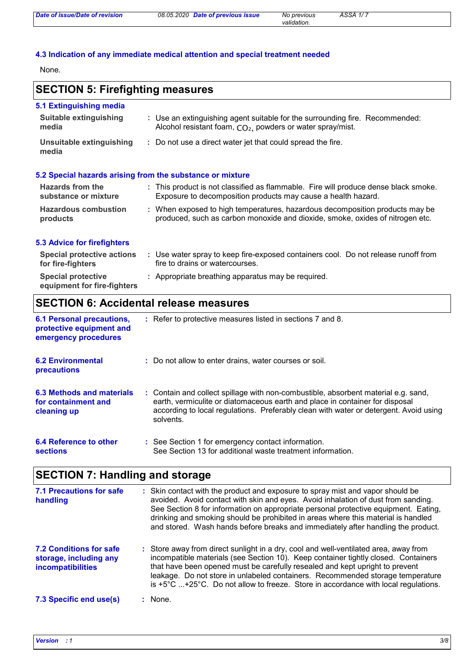*validation.*

#### **4.3 Indication of any immediate medical attention and special treatment needed**

None.

# **SECTION 5: Firefighting measures**

| 5.1 Extinguishing media<br><b>Suitable extinguishing</b><br>media | : Use an extinguishing agent suitable for the surrounding fire. Recommended:<br>Alcohol resistant foam, CO <sub>2</sub> , powders or water spray/mist.        |
|-------------------------------------------------------------------|---------------------------------------------------------------------------------------------------------------------------------------------------------------|
| Unsuitable extinguishing<br>media                                 | : Do not use a direct water jet that could spread the fire.                                                                                                   |
|                                                                   | 5.2 Special hazards arising from the substance or mixture                                                                                                     |
| <b>Hazards from the</b><br>substance or mixture                   | : This product is not classified as flammable. Fire will produce dense black smoke.<br>Exposure to decomposition products may cause a health hazard.          |
| <b>Hazardous combustion</b><br>products                           | : When exposed to high temperatures, hazardous decomposition products may be<br>produced, such as carbon monoxide and dioxide, smoke, oxides of nitrogen etc. |
| <b>5.3 Advice for firefighters</b>                                |                                                                                                                                                               |
| <b>Special protective actions</b><br>for fire-fighters            | : Use water spray to keep fire-exposed containers cool. Do not release runoff from<br>fire to drains or watercourses.                                         |

#### **Special protective : Appropriate breathing apparatus may be required. equipment for fire-fighters**

# **SECTION 6: Accidental release measures**

| <b>6.1 Personal precautions,</b><br>protective equipment and<br>emergency procedures | : Refer to protective measures listed in sections 7 and 8.                                                                                                                                                                                                               |
|--------------------------------------------------------------------------------------|--------------------------------------------------------------------------------------------------------------------------------------------------------------------------------------------------------------------------------------------------------------------------|
| <b>6.2 Environmental</b><br><b>precautions</b>                                       | : Do not allow to enter drains, water courses or soil.                                                                                                                                                                                                                   |
| <b>6.3 Methods and materials</b><br>for containment and<br>cleaning up               | : Contain and collect spillage with non-combustible, absorbent material e.g. sand,<br>earth, vermiculite or diatomaceous earth and place in container for disposal<br>according to local regulations. Preferably clean with water or detergent. Avoid using<br>solvents. |
| 6.4 Reference to other<br><b>sections</b>                                            | : See Section 1 for emergency contact information.<br>See Section 13 for additional waste treatment information.                                                                                                                                                         |

# **SECTION 7: Handling and storage**

| <b>7.1 Precautions for safe</b><br>handling                                   | : Skin contact with the product and exposure to spray mist and vapor should be<br>avoided. Avoid contact with skin and eyes. Avoid inhalation of dust from sanding.<br>See Section 8 for information on appropriate personal protective equipment. Eating,<br>drinking and smoking should be prohibited in areas where this material is handled<br>and stored. Wash hands before breaks and immediately after handling the product.                    |
|-------------------------------------------------------------------------------|--------------------------------------------------------------------------------------------------------------------------------------------------------------------------------------------------------------------------------------------------------------------------------------------------------------------------------------------------------------------------------------------------------------------------------------------------------|
| <b>7.2 Conditions for safe</b><br>storage, including any<br>incompatibilities | : Store away from direct sunlight in a dry, cool and well-ventilated area, away from<br>incompatible materials (see Section 10). Keep container tightly closed. Containers<br>that have been opened must be carefully resealed and kept upright to prevent<br>leakage. Do not store in unlabeled containers. Recommended storage temperature<br>is $+5^{\circ}$ C $+25^{\circ}$ C. Do not allow to freeze. Store in accordance with local regulations. |
| 7.3 Specific end use(s)                                                       | : None.                                                                                                                                                                                                                                                                                                                                                                                                                                                |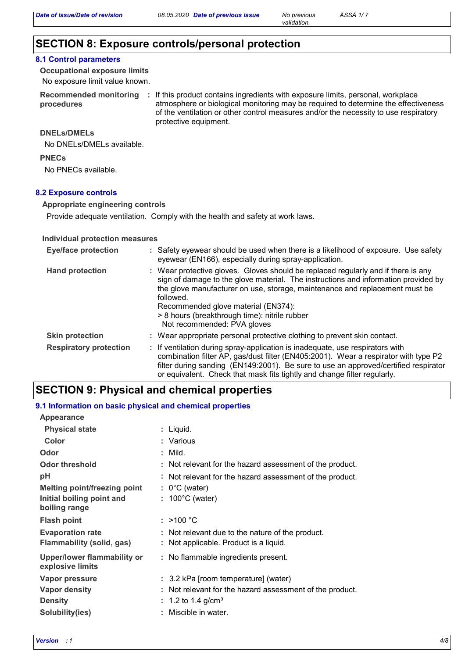# **SECTION 8: Exposure controls/personal protection**

#### **8.1 Control parameters**

**Occupational exposure limits**

No exposure limit value known.

**procedures**

Recommended monitoring : If this product contains ingredients with exposure limits, personal, workplace atmosphere or biological monitoring may be required to determine the effectiveness of the ventilation or other control measures and/or the necessity to use respiratory protective equipment.

*validation.*

#### **DNELs/DMELs**

No DNELs/DMELs available.

**PNECs**

No PNECs available.

#### **8.2 Exposure controls**

#### **Appropriate engineering controls**

Provide adequate ventilation. Comply with the health and safety at work laws.

#### **Individual protection measures**

| <b>Eye/face protection</b>    | : Safety eyewear should be used when there is a likelihood of exposure. Use safety<br>eyewear (EN166), especially during spray-application.                                                                                                                                                                                                                                                |
|-------------------------------|--------------------------------------------------------------------------------------------------------------------------------------------------------------------------------------------------------------------------------------------------------------------------------------------------------------------------------------------------------------------------------------------|
| <b>Hand protection</b>        | : Wear protective gloves. Gloves should be replaced regularly and if there is any<br>sign of damage to the glove material. The instructions and information provided by<br>the glove manufacturer on use, storage, maintenance and replacement must be<br>followed.<br>Recommended glove material (EN374):<br>> 8 hours (breakthrough time): nitrile rubber<br>Not recommended: PVA gloves |
| <b>Skin protection</b>        | : Wear appropriate personal protective clothing to prevent skin contact.                                                                                                                                                                                                                                                                                                                   |
| <b>Respiratory protection</b> | : If ventilation during spray-application is inadequate, use respirators with<br>combination filter AP, gas/dust filter (EN405:2001). Wear a respirator with type P2<br>filter during sanding (EN149:2001). Be sure to use an approved/certified respirator<br>or equivalent. Check that mask fits tightly and change filter regularly.                                                    |

### **SECTION 9: Physical and chemical properties**

#### **Physical state** Liquid. **: 9.1 Information on basic physical and chemical properties Appearance**

| Color                                                | : Various                                                                                  |
|------------------------------------------------------|--------------------------------------------------------------------------------------------|
| Odor                                                 | $:$ Mild.                                                                                  |
| <b>Odor threshold</b>                                | : Not relevant for the hazard assessment of the product.                                   |
| рH                                                   | : Not relevant for the hazard assessment of the product.                                   |
| <b>Melting point/freezing point</b>                  | $: 0^{\circ}$ C (water)                                                                    |
| Initial boiling point and<br>boiling range           | $: 100^{\circ}$ C (water)                                                                  |
| <b>Flash point</b>                                   | : $>100 °C$                                                                                |
| <b>Evaporation rate</b><br>Flammability (solid, gas) | : Not relevant due to the nature of the product.<br>: Not applicable. Product is a liquid. |
| Upper/lower flammability or<br>explosive limits      | : No flammable ingredients present.                                                        |
| Vapor pressure                                       | : 3.2 kPa [room temperature] (water)                                                       |
| <b>Vapor density</b>                                 | : Not relevant for the hazard assessment of the product.                                   |
| <b>Density</b>                                       | : 1.2 to 1.4 g/cm <sup>3</sup>                                                             |
| Solubility(ies)                                      | : Miscible in water.                                                                       |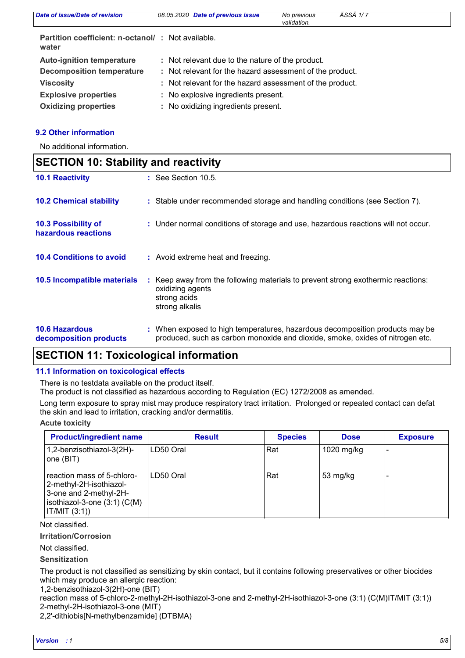| Date of issue/Date of revision                             | 08.05.2020 Date of previous issue                        | No previous<br>validation. | ÄSSÄ 1/7 |
|------------------------------------------------------------|----------------------------------------------------------|----------------------------|----------|
| Partition coefficient: n-octanol/: Not available.<br>water |                                                          |                            |          |
| <b>Auto-ignition temperature</b>                           | : Not relevant due to the nature of the product.         |                            |          |
| <b>Decomposition temperature</b>                           | : Not relevant for the hazard assessment of the product. |                            |          |
| <b>Viscosity</b>                                           | : Not relevant for the hazard assessment of the product. |                            |          |
| <b>Explosive properties</b>                                | : No explosive ingredients present.                      |                            |          |
| <b>Oxidizing properties</b>                                | : No oxidizing ingredients present.                      |                            |          |

#### **9.2 Other information**

No additional information.

| <b>SECTION 10: Stability and reactivity</b>     |                                                                                                                                                               |  |
|-------------------------------------------------|---------------------------------------------------------------------------------------------------------------------------------------------------------------|--|
| <b>10.1 Reactivity</b>                          | $\therefore$ See Section 10.5.                                                                                                                                |  |
| <b>10.2 Chemical stability</b>                  | : Stable under recommended storage and handling conditions (see Section 7).                                                                                   |  |
| 10.3 Possibility of<br>hazardous reactions      | : Under normal conditions of storage and use, hazardous reactions will not occur.                                                                             |  |
| <b>10.4 Conditions to avoid</b>                 | : Avoid extreme heat and freezing.                                                                                                                            |  |
| 10.5 Incompatible materials                     | : Keep away from the following materials to prevent strong exothermic reactions:<br>oxidizing agents<br>strong acids<br>strong alkalis                        |  |
| <b>10.6 Hazardous</b><br>decomposition products | : When exposed to high temperatures, hazardous decomposition products may be<br>produced, such as carbon monoxide and dioxide, smoke, oxides of nitrogen etc. |  |

### **SECTION 11: Toxicological information**

#### **11.1 Information on toxicological effects**

There is no testdata available on the product itself.

The product is not classified as hazardous according to Regulation (EC) 1272/2008 as amended.

Long term exposure to spray mist may produce respiratory tract irritation. Prolonged or repeated contact can defat the skin and lead to irritation, cracking and/or dermatitis.

#### **Acute toxicity**

| <b>Product/ingredient name</b>                                                                                                       | <b>Result</b> | <b>Species</b> | <b>Dose</b> | <b>Exposure</b> |
|--------------------------------------------------------------------------------------------------------------------------------------|---------------|----------------|-------------|-----------------|
| 1,2-benzisothiazol-3(2H)-<br>one (BIT)                                                                                               | ILD50 Oral    | Rat            | 1020 mg/kg  |                 |
| reaction mass of 5-chloro-<br>2-methyl-2H-isothiazol-<br>3-one and 2-methyl-2H-<br>isothiazol-3-one $(3:1)$ $(C(M))$<br>IT/MIT (3:1) | ILD50 Oral    | Rat            | 53 mg/kg    |                 |

Not classified.

#### **Irritation/Corrosion**

Not classified.

#### **Sensitization**

The product is not classified as sensitizing by skin contact, but it contains following preservatives or other biocides which may produce an allergic reaction:

1,2-benzisothiazol-3(2H)-one (BIT)

reaction mass of 5-chloro-2-methyl-2H-isothiazol-3-one and 2-methyl-2H-isothiazol-3-one (3:1) (C(M)IT/MIT (3:1)) 2-methyl-2H-isothiazol-3-one (MIT)

2,2'-dithiobis[N-methylbenzamide] (DTBMA)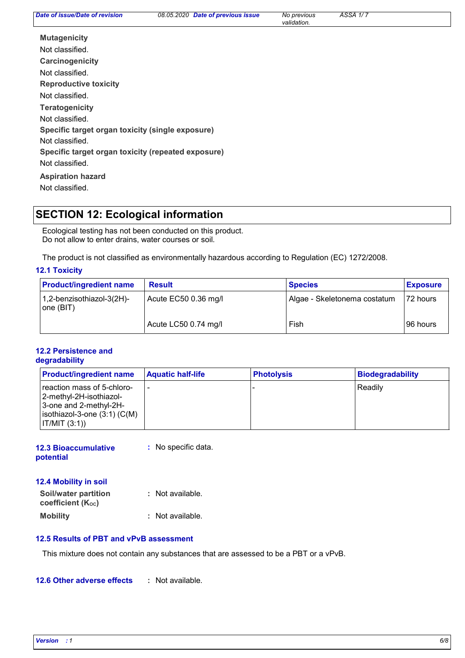*Date of previous issue No previous ÄSSÄ 1/ 7*

*validation.*

**Carcinogenicity Mutagenicity Teratogenicity Reproductive toxicity Specific target organ toxicity (single exposure) Specific target organ toxicity (repeated exposure) Aspiration hazard** Not classified. Not classified. Not classified. Not classified. Not classified. Not classified. Not classified.

# **SECTION 12: Ecological information**

Ecological testing has not been conducted on this product. Do not allow to enter drains, water courses or soil.

The product is not classified as environmentally hazardous according to Regulation (EC) 1272/2008.

#### **12.1 Toxicity**

| <b>Product/ingredient name</b>         | <b>Result</b>        | <b>Species</b>               | <b>Exposure</b> |
|----------------------------------------|----------------------|------------------------------|-----------------|
| 1,2-benzisothiazol-3(2H)-<br>one (BIT) | Acute EC50 0.36 mg/l | Algae - Skeletonema costatum | 72 hours        |
|                                        | Acute LC50 0.74 mg/l | Fish                         | I96 hours       |

#### **12.2 Persistence and degradability**

| <b>Product/ingredient name</b>                                                                                                   | <b>Aquatic half-life</b> | <b>Photolysis</b> | <b>Biodegradability</b> |
|----------------------------------------------------------------------------------------------------------------------------------|--------------------------|-------------------|-------------------------|
| reaction mass of 5-chloro-<br>-2-methyl-2H-isothiazol <br>3-one and 2-methyl-2H-<br>isothiazol-3-one (3:1) (C(M)<br> IT/MIT(3:1) |                          |                   | Readily                 |

| <b>12.3 Bioaccumulative</b> | : No specific data. |
|-----------------------------|---------------------|
| potential                   |                     |

**12.4 Mobility in soil**

| Soil/water partition<br>coefficient (K <sub>oc</sub> ) | : Not available. |
|--------------------------------------------------------|------------------|
| Mobility                                               | : Not available. |

#### **12.5 Results of PBT and vPvB assessment**

This mixture does not contain any substances that are assessed to be a PBT or a vPvB.

**12.6 Other adverse effects :**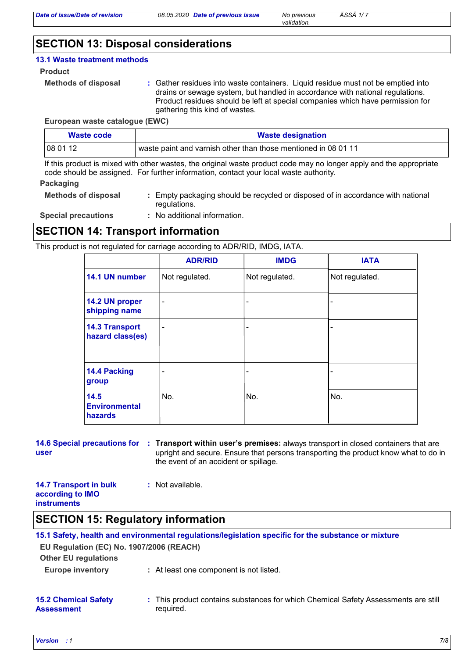*validation.*

# **SECTION 13: Disposal considerations**

#### **13.1 Waste treatment methods**

#### **Product**

```
Methods of disposal :
```
Gather residues into waste containers. Liquid residue must not be emptied into drains or sewage system, but handled in accordance with national regulations. Product residues should be left at special companies which have permission for gathering this kind of wastes.

#### **European waste catalogue (EWC)**

| Waste code | <b>Waste designation</b>                                       |
|------------|----------------------------------------------------------------|
| 1080112    | waste paint and varnish other than those mentioned in 08 01 11 |

If this product is mixed with other wastes, the original waste product code may no longer apply and the appropriate code should be assigned. For further information, contact your local waste authority.

#### **Packaging**

| <b>Methods of disposal</b> | : Empty packaging should be recycled or disposed of in accordance with national |
|----------------------------|---------------------------------------------------------------------------------|
|                            | regulations.                                                                    |

**Special precautions :** : No additional information.

### **SECTION 14: Transport information**

This product is not regulated for carriage according to ADR/RID, IMDG, IATA.

|                                           | <b>ADR/RID</b> | <b>IMDG</b>              | <b>IATA</b>    |
|-------------------------------------------|----------------|--------------------------|----------------|
| 14.1 UN number                            | Not regulated. | Not regulated.           | Not regulated. |
| 14.2 UN proper<br>shipping name           |                |                          |                |
| <b>14.3 Transport</b><br>hazard class(es) |                | $\overline{\phantom{a}}$ |                |
| 14.4 Packing<br>group                     |                | ۰                        |                |
| 14.5<br><b>Environmental</b><br>hazards   | No.            | No.                      | No.            |

#### **14.6 Special precautions for : Transport within user's premises: always transport in closed containers that are user** upright and secure. Ensure that persons transporting the product know what to do in the event of an accident or spillage.

#### **14.7 Transport in bulk according to IMO instruments :** Not available.

### **SECTION 15: Regulatory information**

| EU Regulation (EC) No. 1907/2006 (REACH)         | 15.1 Safety, health and environmental regulations/legislation specific for the substance or mixture |
|--------------------------------------------------|-----------------------------------------------------------------------------------------------------|
| <b>Other EU regulations</b>                      |                                                                                                     |
| <b>Europe inventory</b>                          | : At least one component is not listed.                                                             |
| <b>15.2 Chemical Safety</b><br><b>Assessment</b> | : This product contains substances for which Chemical Safety Assessments are still<br>required.     |